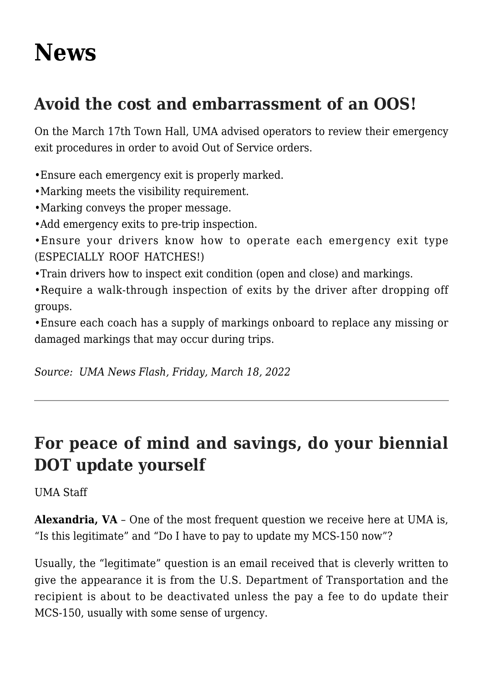## **[News](http://www.southcentralmotorcoach.org/scma/news/)**

## **Avoid the cost and embarrassment of an OOS!**

On the March 17th Town Hall, UMA advised operators to review their emergency exit procedures in order to avoid Out of Service orders.

•Ensure each emergency exit is properly marked.

- •Marking meets the visibility requirement.
- •Marking conveys the proper message.
- •Add emergency exits to pre-trip inspection.

•Ensure your drivers know how to operate each emergency exit type (ESPECIALLY ROOF HATCHES!)

•Train drivers how to inspect exit condition (open and close) and markings.

•Require a walk-through inspection of exits by the driver after dropping off groups.

•Ensure each coach has a supply of markings onboard to replace any missing or damaged markings that may occur during trips.

*Source: UMA News Flash, Friday, March 18, 2022*

## **For peace of mind and savings, do your biennial DOT update yourself**

UMA Staff

**Alexandria, VA** – One of the most frequent question we receive here at UMA is, "Is this legitimate" and "Do I have to pay to update my MCS-150 now"?

Usually, the "legitimate" question is an email received that is cleverly written to give the appearance it is from the U.S. Department of Transportation and the recipient is about to be deactivated unless the pay a fee to do update their MCS-150, usually with some sense of urgency.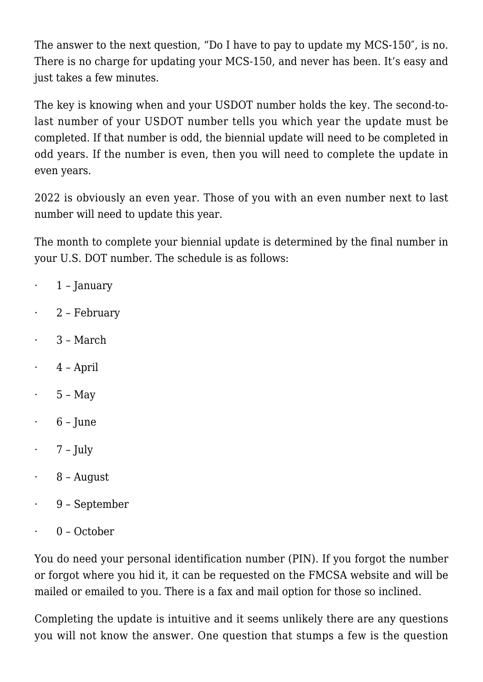The answer to the next question, "Do I have to pay to update my MCS-150″, is no. There is no charge for updating your MCS-150, and never has been. It's easy and just takes a few minutes.

The key is knowing when and your USDOT number holds the key. The second-tolast number of your USDOT number tells you which year the update must be completed. If that number is odd, the biennial update will need to be completed in odd years. If the number is even, then you will need to complete the update in even years.

2022 is obviously an even year. Those of you with an even number next to last number will need to update this year.

The month to complete your biennial update is determined by the final number in your U.S. DOT number. The schedule is as follows:

- $\cdot$  1 January
- · 2 February
- · 3 March
- · 4 April
- $\cdot$  5 May
- $6$  June
- $\cdot$  7 July
- 8 August
- · 9 September
- · 0 October

You do need your personal identification number (PIN). If you forgot the number or forgot where you hid it, it can be requested on the FMCSA website and will be mailed or emailed to you. There is a fax and mail option for those so inclined.

Completing the update is intuitive and it seems unlikely there are any questions you will not know the answer. One question that stumps a few is the question